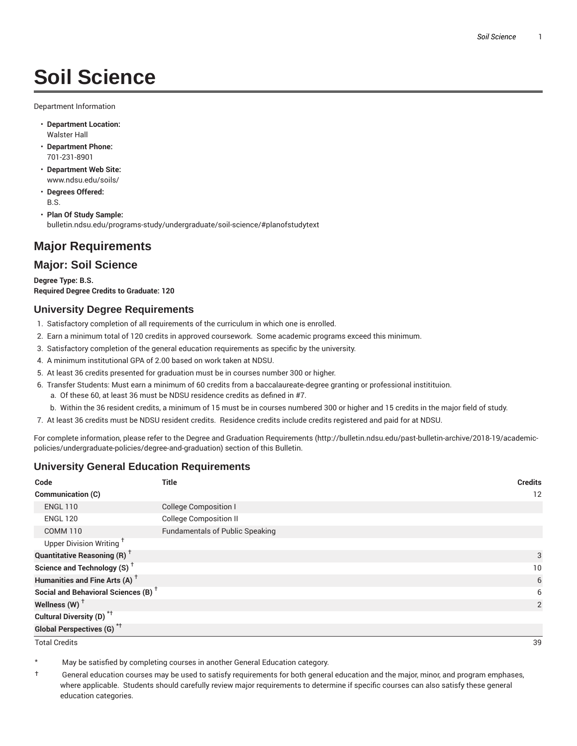# **Soil Science**

Department Information

- **Department Location:** Walster Hall
- **Department Phone:** 701-231-8901
- **Department Web Site:** www.ndsu.edu/soils/
- **Degrees Offered:** B.S.
- **Plan Of Study Sample:** bulletin.ndsu.edu/programs-study/undergraduate/soil-science/#planofstudytext

# **Major Requirements**

### **Major: Soil Science**

**Degree Type: B.S. Required Degree Credits to Graduate: 120**

### **University Degree Requirements**

- 1. Satisfactory completion of all requirements of the curriculum in which one is enrolled.
- 2. Earn a minimum total of 120 credits in approved coursework. Some academic programs exceed this minimum.
- 3. Satisfactory completion of the general education requirements as specific by the university.
- 4. A minimum institutional GPA of 2.00 based on work taken at NDSU.
- 5. At least 36 credits presented for graduation must be in courses number 300 or higher.
- 6. Transfer Students: Must earn a minimum of 60 credits from a baccalaureate-degree granting or professional institituion.
	- a. Of these 60, at least 36 must be NDSU residence credits as defined in #7.
	- b. Within the 36 resident credits, a minimum of 15 must be in courses numbered 300 or higher and 15 credits in the major field of study.
- 7. At least 36 credits must be NDSU resident credits. Residence credits include credits registered and paid for at NDSU.

For complete information, please refer to the Degree and Graduation Requirements (http://bulletin.ndsu.edu/past-bulletin-archive/2018-19/academicpolicies/undergraduate-policies/degree-and-graduation) section of this Bulletin.

### **University General Education Requirements**

| Code                                            | <b>Title</b>                           | <b>Credits</b> |
|-------------------------------------------------|----------------------------------------|----------------|
| Communication (C)                               |                                        | 12             |
| <b>ENGL 110</b>                                 | <b>College Composition I</b>           |                |
| <b>ENGL 120</b>                                 | <b>College Composition II</b>          |                |
| <b>COMM 110</b>                                 | <b>Fundamentals of Public Speaking</b> |                |
| Upper Division Writing <sup>+</sup>             |                                        |                |
| <b>Quantitative Reasoning (R)</b> <sup>†</sup>  |                                        | 3              |
| Science and Technology (S) <sup>+</sup>         |                                        | 10             |
| Humanities and Fine Arts (A) <sup>+</sup>       |                                        | 6              |
| Social and Behavioral Sciences (B) <sup>+</sup> |                                        | 6              |
| Wellness $(W)$ <sup>+</sup>                     |                                        | 2              |
| Cultural Diversity (D) <sup>*†</sup>            |                                        |                |
| <b>Global Perspectives (G)<sup>*†</sup></b>     |                                        |                |

Total Credits 39

May be satisfied by completing courses in another General Education category.

† General education courses may be used to satisfy requirements for both general education and the major, minor, and program emphases, where applicable. Students should carefully review major requirements to determine if specific courses can also satisfy these general education categories.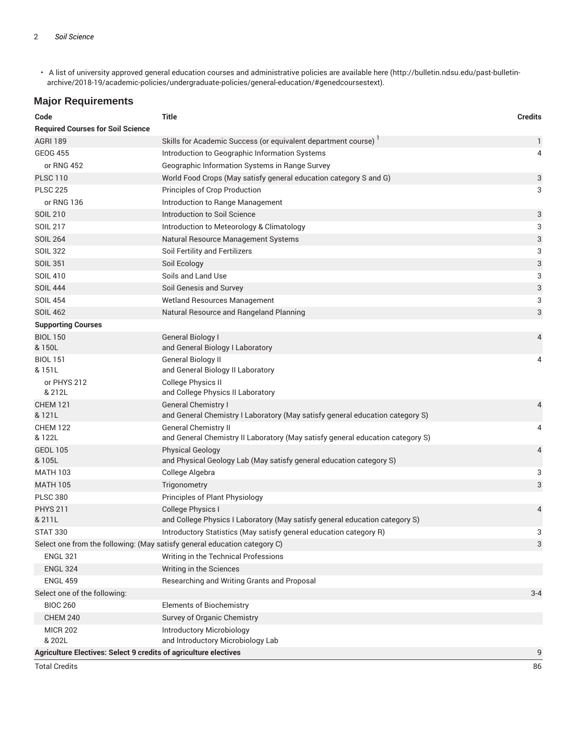• A list of university approved general education courses and administrative policies are available here (http://bulletin.ndsu.edu/past-bulletinarchive/2018-19/academic-policies/undergraduate-policies/general-education/#genedcoursestext).

# **Major Requirements**

| Code                                                                    | <b>Title</b>                                                                                                  | <b>Credits</b> |
|-------------------------------------------------------------------------|---------------------------------------------------------------------------------------------------------------|----------------|
| <b>Required Courses for Soil Science</b>                                |                                                                                                               |                |
| <b>AGRI 189</b>                                                         | Skills for Academic Success (or equivalent department course)                                                 | $\mathbf{1}$   |
| <b>GEOG 455</b>                                                         | Introduction to Geographic Information Systems                                                                | 4              |
| or RNG 452                                                              | Geographic Information Systems in Range Survey                                                                |                |
| <b>PLSC 110</b>                                                         | World Food Crops (May satisfy general education category S and G)                                             | 3              |
| <b>PLSC 225</b>                                                         | Principles of Crop Production                                                                                 | 3              |
| or RNG 136                                                              | Introduction to Range Management                                                                              |                |
| <b>SOIL 210</b>                                                         | Introduction to Soil Science                                                                                  | 3              |
| <b>SOIL 217</b>                                                         | Introduction to Meteorology & Climatology                                                                     | 3              |
| <b>SOIL 264</b>                                                         | Natural Resource Management Systems                                                                           | 3              |
| <b>SOIL 322</b>                                                         | Soil Fertility and Fertilizers                                                                                | 3              |
| <b>SOIL 351</b>                                                         | Soil Ecology                                                                                                  | 3              |
| <b>SOIL 410</b>                                                         | Soils and Land Use                                                                                            | 3              |
| <b>SOIL 444</b>                                                         | Soil Genesis and Survey                                                                                       | 3              |
| <b>SOIL 454</b>                                                         | Wetland Resources Management                                                                                  | 3              |
| <b>SOIL 462</b>                                                         | Natural Resource and Rangeland Planning                                                                       | 3              |
| <b>Supporting Courses</b>                                               |                                                                                                               |                |
| <b>BIOL 150</b><br>& 150L                                               | General Biology I<br>and General Biology I Laboratory                                                         | 4              |
| <b>BIOL 151</b><br>& 151L                                               | <b>General Biology II</b><br>and General Biology II Laboratory                                                | 4              |
| or PHYS 212<br>& 212L                                                   | College Physics II<br>and College Physics II Laboratory                                                       |                |
| <b>CHEM 121</b><br>& 121L                                               | <b>General Chemistry I</b><br>and General Chemistry I Laboratory (May satisfy general education category S)   | 4              |
| <b>CHEM 122</b><br>& 122L                                               | <b>General Chemistry II</b><br>and General Chemistry II Laboratory (May satisfy general education category S) | 4              |
| <b>GEOL 105</b><br>& 105L                                               | <b>Physical Geology</b><br>and Physical Geology Lab (May satisfy general education category S)                | 4              |
| <b>MATH 103</b>                                                         | College Algebra                                                                                               | 3              |
| <b>MATH 105</b>                                                         | Trigonometry                                                                                                  | 3              |
| <b>PLSC 380</b>                                                         | Principles of Plant Physiology                                                                                |                |
| <b>PHYS 211</b><br>& 211L                                               | College Physics I<br>and College Physics I Laboratory (May satisfy general education category S)              | 4              |
| <b>STAT 330</b>                                                         | Introductory Statistics (May satisfy general education category R)                                            | 3              |
|                                                                         | Select one from the following: (May satisfy general education category C)                                     | 3              |
| <b>ENGL 321</b>                                                         | Writing in the Technical Professions                                                                          |                |
| <b>ENGL 324</b>                                                         | Writing in the Sciences                                                                                       |                |
| <b>ENGL 459</b>                                                         | Researching and Writing Grants and Proposal                                                                   |                |
| Select one of the following:                                            |                                                                                                               | $3 - 4$        |
| <b>BIOC 260</b>                                                         | <b>Elements of Biochemistry</b>                                                                               |                |
| <b>CHEM 240</b>                                                         | Survey of Organic Chemistry                                                                                   |                |
| <b>MICR 202</b><br>& 202L                                               | Introductory Microbiology<br>and Introductory Microbiology Lab                                                |                |
| <b>Agriculture Electives: Select 9 credits of agriculture electives</b> |                                                                                                               | 9              |

Total Credits 86